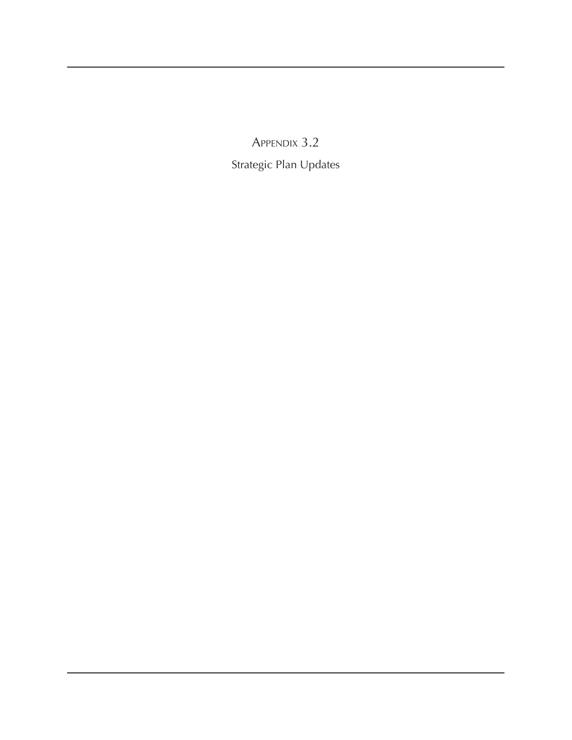Appendix 3.2

Strategic Plan Updates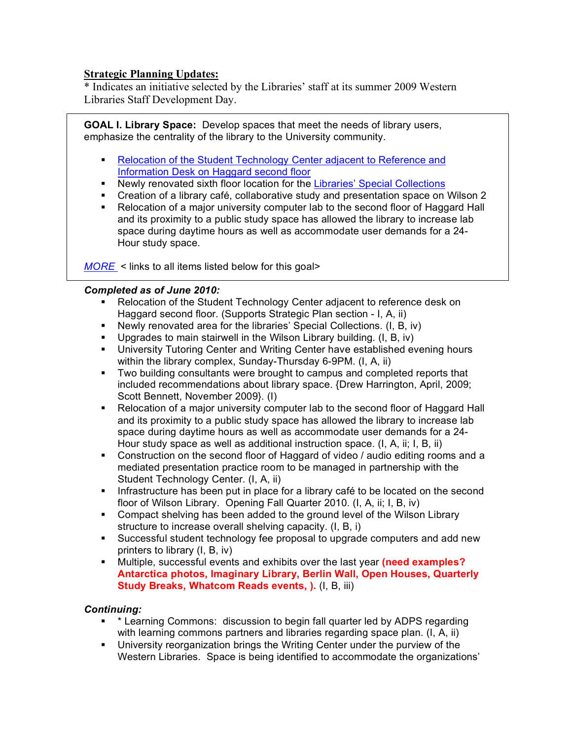# **Strategic Planning Updates:**

\* Indicates an initiative selected by the Libraries' staff at its summer 2009 Western Libraries Staff Development Day.

**GOAL I. Library Space:** Develop spaces that meet the needs of library users, emphasize the centrality of the library to the University community.

- Relocation of the Student Technology Center adjacent to Reference and Information Desk on Haggard second floor
- Newly renovated sixth floor location for the Libraries' Special Collections
- Creation of a library café, collaborative study and presentation space on Wilson 2
- Relocation of a major university computer lab to the second floor of Haggard Hall and its proximity to a public study space has allowed the library to increase lab space during daytime hours as well as accommodate user demands for a 24- Hour study space.

*MORE* < links to all items listed below for this goal>

### *Completed as of June 2010:*

- Relocation of the Student Technology Center adjacent to reference desk on Haggard second floor. (Supports Strategic Plan section - I, A, ii)
- Newly renovated area for the libraries' Special Collections. (I, B, iv)
- Upgrades to main stairwell in the Wilson Library building. (I, B, iv)
- University Tutoring Center and Writing Center have established evening hours within the library complex, Sunday-Thursday 6-9PM. (I, A, ii)
- Two building consultants were brought to campus and completed reports that included recommendations about library space. {Drew Harrington, April, 2009; Scott Bennett, November 2009}. (I)
- Relocation of a major university computer lab to the second floor of Haggard Hall and its proximity to a public study space has allowed the library to increase lab space during daytime hours as well as accommodate user demands for a 24- Hour study space as well as additional instruction space. (I, A, ii; I, B, ii)
- Construction on the second floor of Haggard of video / audio editing rooms and a mediated presentation practice room to be managed in partnership with the Student Technology Center. (I, A, ii)
- Infrastructure has been put in place for a library café to be located on the second floor of Wilson Library. Opening Fall Quarter 2010. (I, A, ii; I, B, iv)
- Compact shelving has been added to the ground level of the Wilson Library structure to increase overall shelving capacity. (I, B, i)
- Successful student technology fee proposal to upgrade computers and add new printers to library (I, B, iv)
- Multiple, successful events and exhibits over the last year **(need examples? Antarctica photos, Imaginary Library, Berlin Wall, Open Houses, Quarterly Study Breaks, Whatcom Reads events, ).** (I, B, iii)

- \* Learning Commons: discussion to begin fall quarter led by ADPS regarding with learning commons partners and libraries regarding space plan. (I, A, ii)
- University reorganization brings the Writing Center under the purview of the Western Libraries. Space is being identified to accommodate the organizations'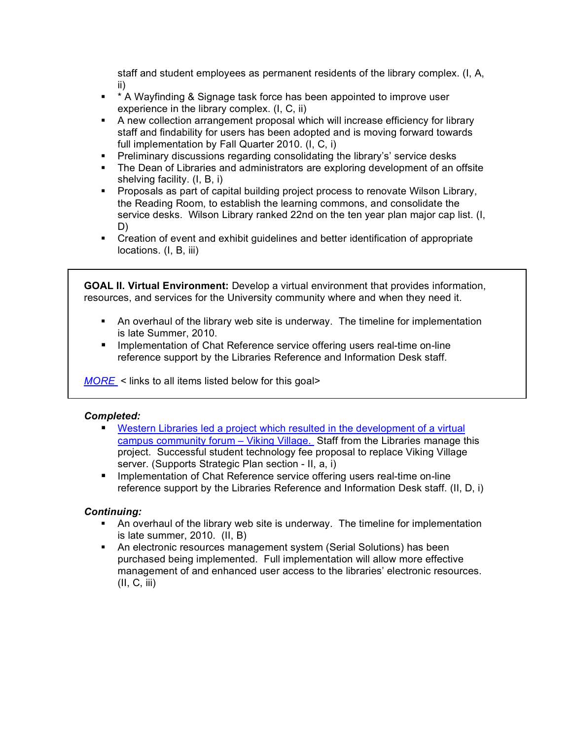staff and student employees as permanent residents of the library complex. (I, A, ii)

- \* \* A Wayfinding & Signage task force has been appointed to improve user experience in the library complex. (I, C, ii)
- A new collection arrangement proposal which will increase efficiency for library staff and findability for users has been adopted and is moving forward towards full implementation by Fall Quarter 2010. (I, C, i)
- **Preliminary discussions regarding consolidating the library's' service desks**
- The Dean of Libraries and administrators are exploring development of an offsite shelving facility. (I, B, i)
- **Proposals as part of capital building project process to renovate Wilson Library,** the Reading Room, to establish the learning commons, and consolidate the service desks. Wilson Library ranked 22nd on the ten year plan major cap list. (I, D)
- Creation of event and exhibit guidelines and better identification of appropriate locations. (I, B, iii)

**GOAL II. Virtual Environment:** Develop a virtual environment that provides information, resources, and services for the University community where and when they need it.

- An overhaul of the library web site is underway. The timeline for implementation is late Summer, 2010.
- **IMPLEMENTER IMPLE IMPLE THE IMPLE THE IMPLE IM** Implementation of Chat Reference service offering on-line reference support by the Libraries Reference and Information Desk staff.

*MORE* < links to all items listed below for this goal>

### *Completed:*

- Western Libraries led a project which resulted in the development of a virtual campus community forum – Viking Village. Staff from the Libraries manage this project. Successful student technology fee proposal to replace Viking Village server. (Supports Strategic Plan section - II, a, i)
- **Implementation of Chat Reference service offering users real-time on-line** reference support by the Libraries Reference and Information Desk staff. (II, D, i)

- An overhaul of the library web site is underway. The timeline for implementation is late summer, 2010. (II, B)
- An electronic resources management system (Serial Solutions) has been purchased being implemented. Full implementation will allow more effective management of and enhanced user access to the libraries' electronic resources. (II, C, iii)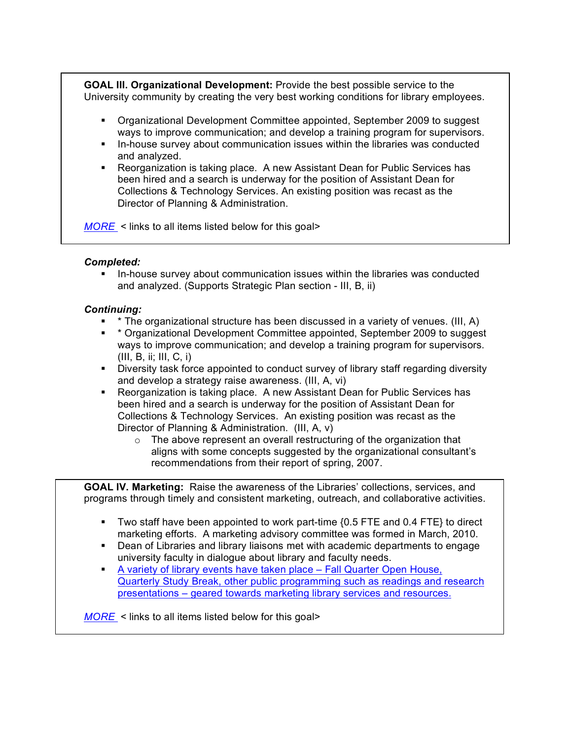**GOAL III. Organizational Development:** Provide the best possible service to the University community by creating the very best working conditions for library employees.

- Organizational Development Committee appointed, September 2009 to suggest ways to improve communication; and develop a training program for supervisors.
- In-house survey about communication issues within the libraries was conducted and analyzed.
- Reorganization is taking place. A new Assistant Dean for Public Services has been hired and a search is underway for the position of Assistant Dean for Collections & Technology Services. An existing position was recast as the Director of Planning & Administration.

*MORE* < links to all items listed below for this goal>

#### *Completed:*

 In-house survey about communication issues within the libraries was conducted and analyzed. (Supports Strategic Plan section - III, B, ii)

#### *Continuing:*

- \* The organizational structure has been discussed in a variety of venues. (III, A)
- \* Organizational Development Committee appointed, September 2009 to suggest ways to improve communication; and develop a training program for supervisors. (III, B, ii; III, C, i)
- **Diversity task force appointed to conduct survey of library staff regarding diversity** and develop a strategy raise awareness. (III, A, vi)
- Reorganization is taking place. A new Assistant Dean for Public Services has been hired and a search is underway for the position of Assistant Dean for Collections & Technology Services. An existing position was recast as the Director of Planning & Administration. (III, A, v)
	- $\circ$  The above represent an overall restructuring of the organization that aligns with some concepts suggested by the organizational consultant's recommendations from their report of spring, 2007.

**GOAL IV. Marketing:** Raise the awareness of the Libraries' collections, services, and programs through timely and consistent marketing, outreach, and collaborative activities.

- Two staff have been appointed to work part-time {0.5 FTE and 0.4 FTE} to direct marketing efforts. A marketing advisory committee was formed in March, 2010.
- Dean of Libraries and library liaisons met with academic departments to engage university faculty in dialogue about library and faculty needs.
- A variety of library events have taken place Fall Quarter Open House, Quarterly Study Break, other public programming such as readings and research presentations – geared towards marketing library services and resources.

*MORE* < links to all items listed below for this goal>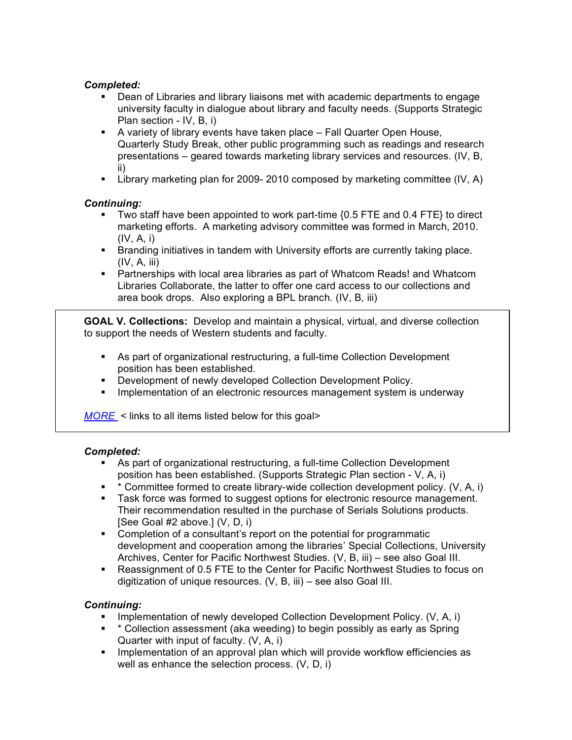# *Completed:*

- Dean of Libraries and library liaisons met with academic departments to engage university faculty in dialogue about library and faculty needs. (Supports Strategic Plan section - IV, B, i)
- A variety of library events have taken place Fall Quarter Open House, Quarterly Study Break, other public programming such as readings and research presentations – geared towards marketing library services and resources. (IV, B, ii)
- Library marketing plan for 2009- 2010 composed by marketing committee (IV, A)

# *Continuing:*

- Two staff have been appointed to work part-time {0.5 FTE and 0.4 FTE} to direct marketing efforts. A marketing advisory committee was formed in March, 2010. (IV, A, i)
- Branding initiatives in tandem with University efforts are currently taking place. (IV, A, iii)
- Partnerships with local area libraries as part of Whatcom Reads! and Whatcom Libraries Collaborate, the latter to offer one card access to our collections and area book drops. Also exploring a BPL branch. (IV, B, iii)

**GOAL V. Collections:** Develop and maintain a physical, virtual, and diverse collection to support the needs of Western students and faculty.

- As part of organizational restructuring, a full-time Collection Development position has been established.
- Development of newly developed Collection Development Policy.
- **IMPLEM** Implementation of an electronic resources management system is underway

*MORE* < links to all items listed below for this goal>

#### *Completed:*

- As part of organizational restructuring, a full-time Collection Development position has been established. (Supports Strategic Plan section - V, A, i)
- $\bullet$  \* Committee formed to create library-wide collection development policy. (V, A, i)
- **Task force was formed to suggest options for electronic resource management.** Their recommendation resulted in the purchase of Serials Solutions products. [See Goal #2 above.] (V, D, i)
- Completion of a consultant's report on the potential for programmatic development and cooperation among the libraries' Special Collections, University Archives, Center for Pacific Northwest Studies. (V, B, iii) – see also Goal III.
- Reassignment of 0.5 FTE to the Center for Pacific Northwest Studies to focus on digitization of unique resources. (V, B, iii) – see also Goal III.

- **Implementation of newly developed Collection Development Policy.**  $(V, A, i)$
- \* Collection assessment (aka weeding) to begin possibly as early as Spring Quarter with input of faculty. (V, A, i)
- **IMPLEMENT IMPLE 2018** Implementation of an approval plan which will provide workflow efficiencies as well as enhance the selection process. (V, D, i)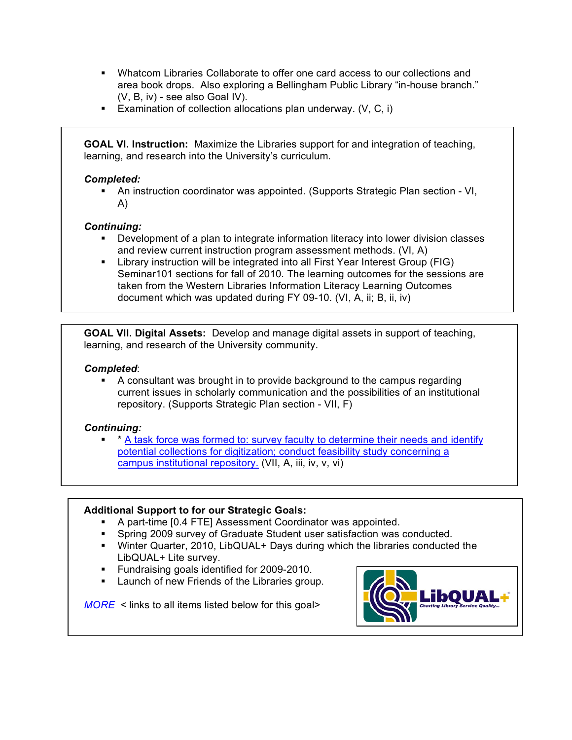- Whatcom Libraries Collaborate to offer one card access to our collections and area book drops. Also exploring a Bellingham Public Library "in-house branch." (V, B, iv) - see also Goal IV).
- Examination of collection allocations plan underway.  $(V, C, i)$

**GOAL VI. Instruction:** Maximize the Libraries support for and integration of teaching, learning, and research into the University's curriculum.

# *Completed:*

 An instruction coordinator was appointed. (Supports Strategic Plan section - VI, A)

# *Continuing:*

- Development of a plan to integrate information literacy into lower division classes and review current instruction program assessment methods. (VI, A)
- Library instruction will be integrated into all First Year Interest Group (FIG) Seminar101 sections for fall of 2010. The learning outcomes for the sessions are taken from the Western Libraries Information Literacy Learning Outcomes document which was updated during FY 09-10. (VI, A, ii; B, ii, iv)

**GOAL VII. Digital Assets:** Develop and manage digital assets in support of teaching, learning, and research of the University community.

### *Completed*:

 A consultant was brought in to provide background to the campus regarding current issues in scholarly communication and the possibilities of an institutional repository. (Supports Strategic Plan section - VII, F)

### *Continuing:*

\* A task force was formed to: survey faculty to determine their needs and identify potential collections for digitization; conduct feasibility study concerning a campus institutional repository. (VII, A, iii, iv, v, vi)

### **Additional Support to for our Strategic Goals:**

- A part-time [0.4 FTE] Assessment Coordinator was appointed.
- Spring 2009 survey of Graduate Student user satisfaction was conducted.
- Winter Quarter, 2010, LibQUAL+ Days during which the libraries conducted the LibQUAL+ Lite survey.
- **Fundraising goals identified for 2009-2010.**
- **Launch of new Friends of the Libraries group.**

*MORE* < links to all items listed below for this goal>